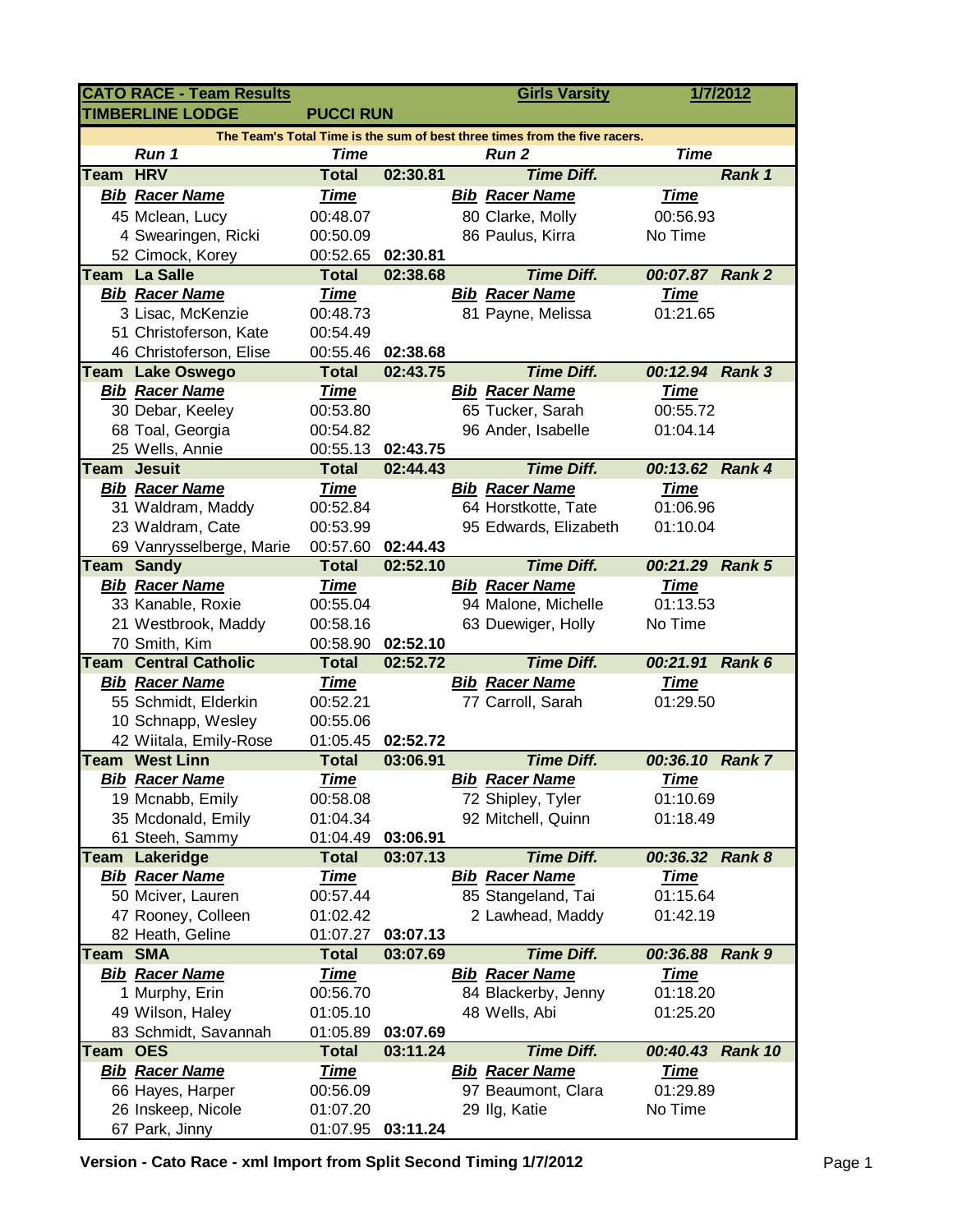| <b>CATO RACE - Team Results</b>                                            |                                                 |                          |                      |  | <b>Girls Varsity</b>                    |                      | 1/7/2012      |  |  |  |  |  |
|----------------------------------------------------------------------------|-------------------------------------------------|--------------------------|----------------------|--|-----------------------------------------|----------------------|---------------|--|--|--|--|--|
| <b>TIMBERLINE LODGE</b><br><b>PUCCI RUN</b>                                |                                                 |                          |                      |  |                                         |                      |               |  |  |  |  |  |
| The Team's Total Time is the sum of best three times from the five racers. |                                                 |                          |                      |  |                                         |                      |               |  |  |  |  |  |
|                                                                            | Run 1                                           | <b>Time</b>              |                      |  | Run <sub>2</sub>                        | <b>Time</b>          |               |  |  |  |  |  |
| Team                                                                       | <b>HRV</b>                                      | <b>Total</b>             | 02:30.81             |  | <b>Time Diff.</b>                       |                      | Rank 1        |  |  |  |  |  |
|                                                                            | <b>Bib Racer Name</b>                           | <b>Time</b>              |                      |  | <b>Bib Racer Name</b>                   | <b>Time</b>          |               |  |  |  |  |  |
|                                                                            | 45 Mclean, Lucy                                 | 00:48.07                 |                      |  | 80 Clarke, Molly                        | 00:56.93             |               |  |  |  |  |  |
|                                                                            | 4 Swearingen, Ricki                             | 00:50.09                 |                      |  | 86 Paulus, Kirra                        | No Time              |               |  |  |  |  |  |
|                                                                            | 52 Cimock, Korey                                | 00:52.65                 | 02:30.81             |  |                                         |                      |               |  |  |  |  |  |
|                                                                            | <b>Team La Salle</b>                            | <b>Total</b>             | 02:38.68             |  | <b>Time Diff.</b>                       | 00:07.87 Rank 2      |               |  |  |  |  |  |
|                                                                            | <b>Bib Racer Name</b>                           | <b>Time</b>              |                      |  | <b>Bib Racer Name</b>                   | <b>Time</b>          |               |  |  |  |  |  |
|                                                                            | 3 Lisac, McKenzie                               | 00:48.73                 |                      |  | 81 Payne, Melissa                       | 01:21.65             |               |  |  |  |  |  |
|                                                                            | 51 Christoferson, Kate                          | 00:54.49                 |                      |  |                                         |                      |               |  |  |  |  |  |
|                                                                            | 46 Christoferson, Elise                         | 00:55.46                 | 02:38.68             |  |                                         |                      |               |  |  |  |  |  |
|                                                                            | <b>Team Lake Oswego</b>                         | <b>Total</b>             | 02:43.75             |  | <b>Time Diff.</b>                       | 00:12.94 Rank 3      |               |  |  |  |  |  |
|                                                                            | <b>Bib Racer Name</b>                           | <b>Time</b>              |                      |  | <b>Bib Racer Name</b>                   | <b>Time</b>          |               |  |  |  |  |  |
|                                                                            | 30 Debar, Keeley                                | 00:53.80                 |                      |  | 65 Tucker, Sarah                        | 00:55.72             |               |  |  |  |  |  |
|                                                                            | 68 Toal, Georgia                                | 00:54.82                 |                      |  | 96 Ander, Isabelle                      | 01:04.14             |               |  |  |  |  |  |
|                                                                            | 25 Wells, Annie                                 | 00:55.13                 | 02:43.75             |  |                                         |                      |               |  |  |  |  |  |
| Team                                                                       | <b>Jesuit</b>                                   | <b>Total</b>             | 02:44.43             |  | <b>Time Diff.</b>                       | 00:13.62 Rank 4      |               |  |  |  |  |  |
|                                                                            | <b>Bib Racer Name</b>                           | <b>Time</b>              |                      |  | <b>Bib Racer Name</b>                   | <b>Time</b>          |               |  |  |  |  |  |
|                                                                            | 31 Waldram, Maddy                               | 00:52.84                 |                      |  | 64 Horstkotte, Tate                     | 01:06.96             |               |  |  |  |  |  |
|                                                                            | 23 Waldram, Cate                                | 00:53.99                 |                      |  | 95 Edwards, Elizabeth                   | 01:10.04             |               |  |  |  |  |  |
|                                                                            | 69 Vanrysselberge, Marie                        | 00:57.60                 | 02:44.43             |  |                                         |                      |               |  |  |  |  |  |
|                                                                            | <b>Team Sandy</b>                               | <b>Total</b>             | 02:52.10             |  | <b>Time Diff.</b>                       | 00:21.29             | <b>Rank 5</b> |  |  |  |  |  |
|                                                                            | <b>Bib Racer Name</b>                           | <b>Time</b>              |                      |  | <b>Bib Racer Name</b>                   | <u>Time</u>          |               |  |  |  |  |  |
|                                                                            | 33 Kanable, Roxie                               | 00:55.04                 |                      |  | 94 Malone, Michelle                     | 01:13.53             |               |  |  |  |  |  |
|                                                                            | 21 Westbrook, Maddy                             | 00:58.16                 |                      |  | 63 Duewiger, Holly                      | No Time              |               |  |  |  |  |  |
|                                                                            | 70 Smith, Kim                                   | 00:58.90                 | 02:52.10             |  |                                         |                      |               |  |  |  |  |  |
|                                                                            | <b>Team Central Catholic</b>                    | <b>Total</b>             | 02:52.72             |  | <b>Time Diff.</b>                       | 00:21.91 Rank 6      |               |  |  |  |  |  |
|                                                                            | <b>Bib Racer Name</b>                           | <u>Time</u>              |                      |  | <b>Bib Racer Name</b>                   | <u>Time</u>          |               |  |  |  |  |  |
|                                                                            | 55 Schmidt, Elderkin                            | 00:52.21                 |                      |  | 77 Carroll, Sarah                       | 01:29.50             |               |  |  |  |  |  |
|                                                                            | 10 Schnapp, Wesley                              | 00:55.06                 |                      |  |                                         |                      |               |  |  |  |  |  |
|                                                                            | 42 Wiitala, Emily-Rose<br><b>Team West Linn</b> | 01:05.45<br><b>Total</b> | 02:52.72<br>03:06.91 |  | <b>Time Diff.</b>                       | 00:36.10 Rank 7      |               |  |  |  |  |  |
|                                                                            |                                                 |                          |                      |  |                                         |                      |               |  |  |  |  |  |
|                                                                            | <b>Bib Racer Name</b>                           | <b>Time</b>              |                      |  | <b>Bib Racer Name</b>                   | <b>Time</b>          |               |  |  |  |  |  |
|                                                                            | 19 Mcnabb, Emily                                | 00:58.08<br>01:04.34     |                      |  | 72 Shipley, Tyler<br>92 Mitchell, Quinn | 01:10.69<br>01:18.49 |               |  |  |  |  |  |
|                                                                            | 35 Mcdonald, Emily                              | 01:04.49                 | 03:06.91             |  |                                         |                      |               |  |  |  |  |  |
|                                                                            | 61 Steeh, Sammy<br><b>Team Lakeridge</b>        | <b>Total</b>             | 03:07.13             |  | <b>Time Diff.</b>                       | 00:36.32 Rank 8      |               |  |  |  |  |  |
|                                                                            | <b>Bib Racer Name</b>                           | <b>Time</b>              |                      |  | <b>Bib Racer Name</b>                   | <u>Time</u>          |               |  |  |  |  |  |
|                                                                            | 50 Mciver, Lauren                               | 00:57.44                 |                      |  | 85 Stangeland, Tai                      | 01:15.64             |               |  |  |  |  |  |
|                                                                            | 47 Rooney, Colleen                              | 01:02.42                 |                      |  | 2 Lawhead, Maddy                        | 01:42.19             |               |  |  |  |  |  |
|                                                                            | 82 Heath, Geline                                | 01:07.27                 | 03:07.13             |  |                                         |                      |               |  |  |  |  |  |
| Team SMA                                                                   |                                                 | <b>Total</b>             | 03:07.69             |  | <b>Time Diff.</b>                       | 00:36.88 Rank 9      |               |  |  |  |  |  |
|                                                                            | <b>Bib Racer Name</b>                           | <b>Time</b>              |                      |  | <b>Bib Racer Name</b>                   | <u>Time</u>          |               |  |  |  |  |  |
|                                                                            | 1 Murphy, Erin                                  | 00:56.70                 |                      |  | 84 Blackerby, Jenny                     | 01:18.20             |               |  |  |  |  |  |
|                                                                            | 49 Wilson, Haley                                | 01:05.10                 |                      |  | 48 Wells, Abi                           | 01:25.20             |               |  |  |  |  |  |
|                                                                            | 83 Schmidt, Savannah                            | 01:05.89                 | 03:07.69             |  |                                         |                      |               |  |  |  |  |  |
| Team                                                                       | <b>OES</b>                                      | <b>Total</b>             | 03:11.24             |  | <b>Time Diff.</b>                       | 00:40.43             | Rank 10       |  |  |  |  |  |
|                                                                            | <b>Bib Racer Name</b>                           | <u>Time</u>              |                      |  | <b>Bib Racer Name</b>                   | <b>Time</b>          |               |  |  |  |  |  |
|                                                                            | 66 Hayes, Harper                                | 00:56.09                 |                      |  | 97 Beaumont, Clara                      | 01:29.89             |               |  |  |  |  |  |
|                                                                            | 26 Inskeep, Nicole                              | 01:07.20                 |                      |  | 29 Ilg, Katie                           | No Time              |               |  |  |  |  |  |
|                                                                            | 67 Park, Jinny                                  | 01:07.95                 | 03:11.24             |  |                                         |                      |               |  |  |  |  |  |